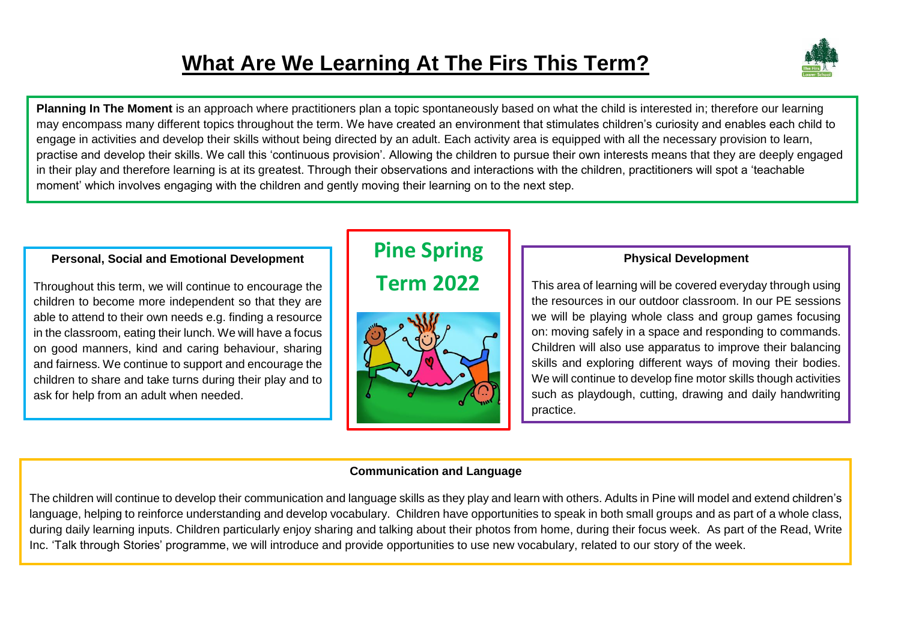# **What Are We Learning At The Firs This Term?**



**Planning In The Moment** is an approach where practitioners plan a topic spontaneously based on what the child is interested in; therefore our learning may encompass many different topics throughout the term. We have created an environment that stimulates children's curiosity and enables each child to engage in activities and develop their skills without being directed by an adult. Each activity area is equipped with all the necessary provision to learn, practise and develop their skills. We call this 'continuous provision'. Allowing the children to pursue their own interests means that they are deeply engaged in their play and therefore learning is at its greatest. Through their observations and interactions with the children, practitioners will spot a 'teachable moment' which involves engaging with the children and gently moving their learning on to the next step.

#### **Personal, Social and Emotional Development**

Throughout this term, we will continue to encourage the children to become more independent so that they are able to attend to their own needs e.g. finding a resource in the classroom, eating their lunch. We will have a focus on good manners, kind and caring behaviour, sharing and fairness. We continue to support and encourage the children to share and take turns during their play and to ask for help from an adult when needed.

# **Pine Spring**

**Term 2022**



#### **Physical Development**

This area of learning will be covered everyday through using the resources in our outdoor classroom. In our PE sessions we will be playing whole class and group games focusing on: moving safely in a space and responding to commands. Children will also use apparatus to improve their balancing skills and exploring different ways of moving their bodies. We will continue to develop fine motor skills though activities such as playdough, cutting, drawing and daily handwriting practice.

#### **Communication and Language**

The children will continue to develop their communication and language skills as they play and learn with others. Adults in Pine will model and extend children's language, helping to reinforce understanding and develop vocabulary. Children have opportunities to speak in both small groups and as part of a whole class, during daily learning inputs. Children particularly enjoy sharing and talking about their photos from home, during their focus week. As part of the Read, Write Inc. 'Talk through Stories' programme, we will introduce and provide opportunities to use new vocabulary, related to our story of the week.